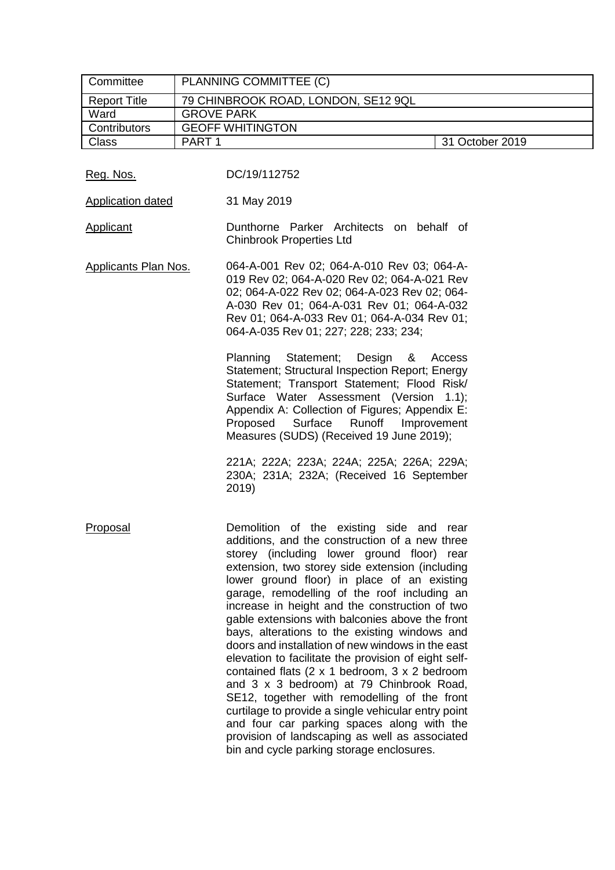| Committee           | PLANNING COMMITTEE (C)              |                 |  |  |
|---------------------|-------------------------------------|-----------------|--|--|
| <b>Report Title</b> | 79 CHINBROOK ROAD, LONDON, SE12 9QL |                 |  |  |
| Ward                | <b>GROVE PARK</b>                   |                 |  |  |
| Contributors        | <b>GEOFF WHITINGTON</b>             |                 |  |  |
| <b>Class</b>        | PART <sub>1</sub>                   | 31 October 2019 |  |  |

Reg. Nos. DC/19/112752

Application dated 31 May 2019

Applicant Dunthorne Parker Architects on behalf of Chinbrook Properties Ltd

Applicants Plan Nos. 064-A-001 Rev 02; 064-A-010 Rev 03; 064-A-019 Rev 02; 064-A-020 Rev 02; 064-A-021 Rev 02; 064-A-022 Rev 02; 064-A-023 Rev 02; 064- A-030 Rev 01; 064-A-031 Rev 01; 064-A-032 Rev 01; 064-A-033 Rev 01; 064-A-034 Rev 01; 064-A-035 Rev 01; 227; 228; 233; 234;

> Planning Statement; Design & Access Statement; Structural Inspection Report; Energy Statement; Transport Statement; Flood Risk/ Surface Water Assessment (Version 1.1); Appendix A: Collection of Figures; Appendix E: Proposed Surface Runoff Improvement Measures (SUDS) (Received 19 June 2019);

> 221A; 222A; 223A; 224A; 225A; 226A; 229A; 230A; 231A; 232A; (Received 16 September 2019)

Proposal Demolition of the existing side and rear additions, and the construction of a new three storey (including lower ground floor) rear extension, two storey side extension (including lower ground floor) in place of an existing garage, remodelling of the roof including an increase in height and the construction of two gable extensions with balconies above the front bays, alterations to the existing windows and doors and installation of new windows in the east elevation to facilitate the provision of eight selfcontained flats (2 x 1 bedroom, 3 x 2 bedroom and 3 x 3 bedroom) at 79 Chinbrook Road, SE12, together with remodelling of the front curtilage to provide a single vehicular entry point and four car parking spaces along with the provision of landscaping as well as associated bin and cycle parking storage enclosures.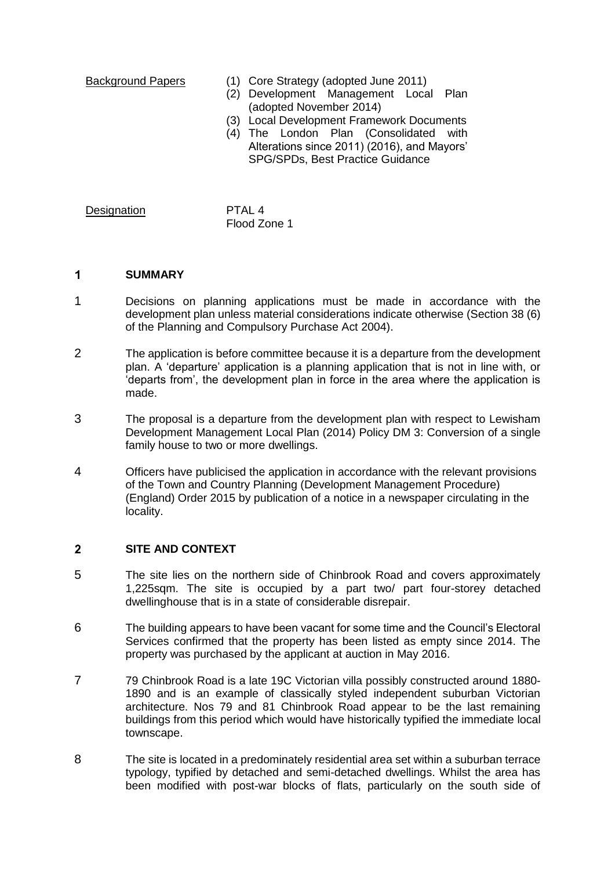- Background Papers (1) Core Strategy (adopted June 2011)
	- (2) Development Management Local Plan (adopted November 2014)
	- (3) Local Development Framework Documents
	- (4) The London Plan (Consolidated with Alterations since 2011) (2016), and Mayors' SPG/SPDs, Best Practice Guidance

# Designation PTAL 4

Flood Zone 1

#### $\mathbf{1}$ **SUMMARY**

- 1 Decisions on planning applications must be made in accordance with the development plan unless material considerations indicate otherwise (Section 38 (6) of the Planning and Compulsory Purchase Act 2004).
- 2 The application is before committee because it is a departure from the development plan. A 'departure' application is a planning application that is not in line with, or 'departs from', the development plan in force in the area where the application is made.
- 3 The proposal is a departure from the development plan with respect to Lewisham Development Management Local Plan (2014) Policy DM 3: Conversion of a single family house to two or more dwellings.
- 4 Officers have publicised the application in accordance with the relevant provisions of the Town and Country Planning (Development Management Procedure) (England) Order 2015 by publication of a notice in a newspaper circulating in the locality.

#### $\overline{2}$ **SITE AND CONTEXT**

- 5 The site lies on the northern side of Chinbrook Road and covers approximately 1,225sqm. The site is occupied by a part two/ part four-storey detached dwellinghouse that is in a state of considerable disrepair.
- 6 The building appears to have been vacant for some time and the Council's Electoral Services confirmed that the property has been listed as empty since 2014. The property was purchased by the applicant at auction in May 2016.
- 7 79 Chinbrook Road is a late 19C Victorian villa possibly constructed around 1880- 1890 and is an example of classically styled independent suburban Victorian architecture. Nos 79 and 81 Chinbrook Road appear to be the last remaining buildings from this period which would have historically typified the immediate local townscape.
- 8 The site is located in a predominately residential area set within a suburban terrace typology, typified by detached and semi-detached dwellings. Whilst the area has been modified with post-war blocks of flats, particularly on the south side of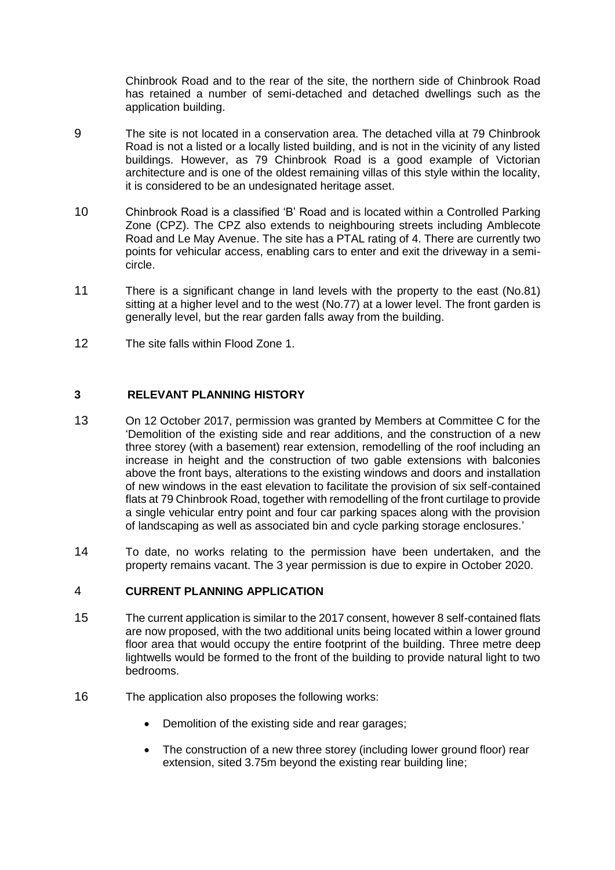Chinbrook Road and to the rear of the site, the northern side of Chinbrook Road has retained a number of semi-detached and detached dwellings such as the application building.

- 9 The site is not located in a conservation area. The detached villa at 79 Chinbrook Road is not a listed or a locally listed building, and is not in the vicinity of any listed buildings. However, as 79 Chinbrook Road is a good example of Victorian architecture and is one of the oldest remaining villas of this style within the locality, it is considered to be an undesignated heritage asset.
- 10 Chinbrook Road is a classified 'B' Road and is located within a Controlled Parking Zone (CPZ). The CPZ also extends to neighbouring streets including Amblecote Road and Le May Avenue. The site has a PTAL rating of 4. There are currently two points for vehicular access, enabling cars to enter and exit the driveway in a semicircle.
- 11 There is a significant change in land levels with the property to the east (No.81) sitting at a higher level and to the west (No.77) at a lower level. The front garden is generally level, but the rear garden falls away from the building.
- 12 The site falls within Flood Zone 1.

# **3 RELEVANT PLANNING HISTORY**

- 13 On 12 October 2017, permission was granted by Members at Committee C for the 'Demolition of the existing side and rear additions, and the construction of a new three storey (with a basement) rear extension, remodelling of the roof including an increase in height and the construction of two gable extensions with balconies above the front bays, alterations to the existing windows and doors and installation of new windows in the east elevation to facilitate the provision of six self-contained flats at 79 Chinbrook Road, together with remodelling of the front curtilage to provide a single vehicular entry point and four car parking spaces along with the provision of landscaping as well as associated bin and cycle parking storage enclosures.'
- 14 To date, no works relating to the permission have been undertaken, and the property remains vacant. The 3 year permission is due to expire in October 2020.

# 4 **CURRENT PLANNING APPLICATION**

- 15 The current application is similar to the 2017 consent, however 8 self-contained flats are now proposed, with the two additional units being located within a lower ground floor area that would occupy the entire footprint of the building. Three metre deep lightwells would be formed to the front of the building to provide natural light to two bedrooms.
- 16 The application also proposes the following works:
	- Demolition of the existing side and rear garages;
	- The construction of a new three storey (including lower ground floor) rear extension, sited 3.75m beyond the existing rear building line;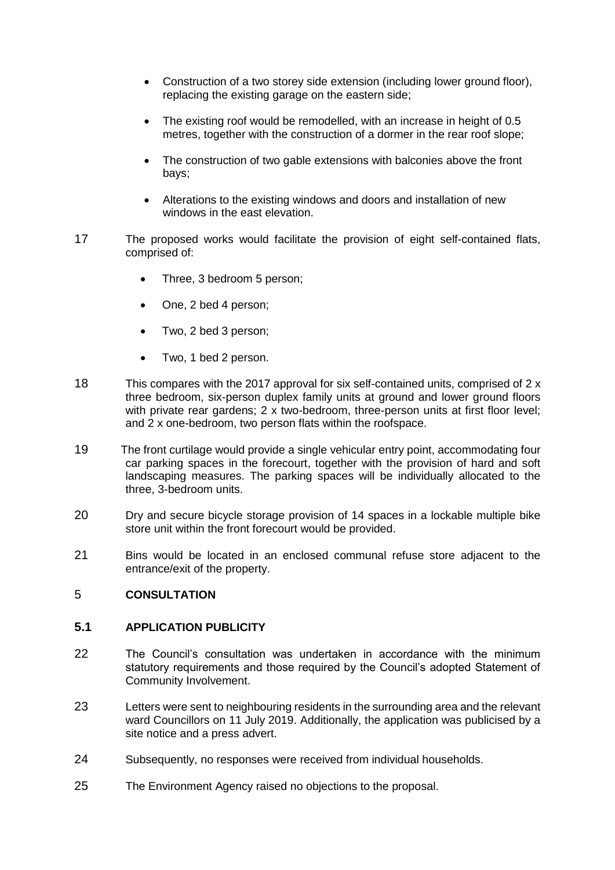- Construction of a two storey side extension (including lower ground floor), replacing the existing garage on the eastern side;
- The existing roof would be remodelled, with an increase in height of 0.5 metres, together with the construction of a dormer in the rear roof slope:
- The construction of two gable extensions with balconies above the front bays;
- Alterations to the existing windows and doors and installation of new windows in the east elevation.
- 17 The proposed works would facilitate the provision of eight self-contained flats, comprised of:
	- Three, 3 bedroom 5 person;
	- One, 2 bed 4 person;
	- Two, 2 bed 3 person;
	- Two, 1 bed 2 person.
- 18 This compares with the 2017 approval for six self-contained units, comprised of 2 x three bedroom, six-person duplex family units at ground and lower ground floors with private rear gardens; 2 x two-bedroom, three-person units at first floor level; and 2 x one-bedroom, two person flats within the roofspace.
- 19 The front curtilage would provide a single vehicular entry point, accommodating four car parking spaces in the forecourt, together with the provision of hard and soft landscaping measures. The parking spaces will be individually allocated to the three, 3-bedroom units.
- 20 Dry and secure bicycle storage provision of 14 spaces in a lockable multiple bike store unit within the front forecourt would be provided.
- 21 Bins would be located in an enclosed communal refuse store adjacent to the entrance/exit of the property.

# 5 **CONSULTATION**

#### **5.1 APPLICATION PUBLICITY**

- 22 The Council's consultation was undertaken in accordance with the minimum statutory requirements and those required by the Council's adopted Statement of Community Involvement.
- 23 Letters were sent to neighbouring residents in the surrounding area and the relevant ward Councillors on 11 July 2019. Additionally, the application was publicised by a site notice and a press advert.
- 24 Subsequently, no responses were received from individual households.
- 25 The Environment Agency raised no objections to the proposal.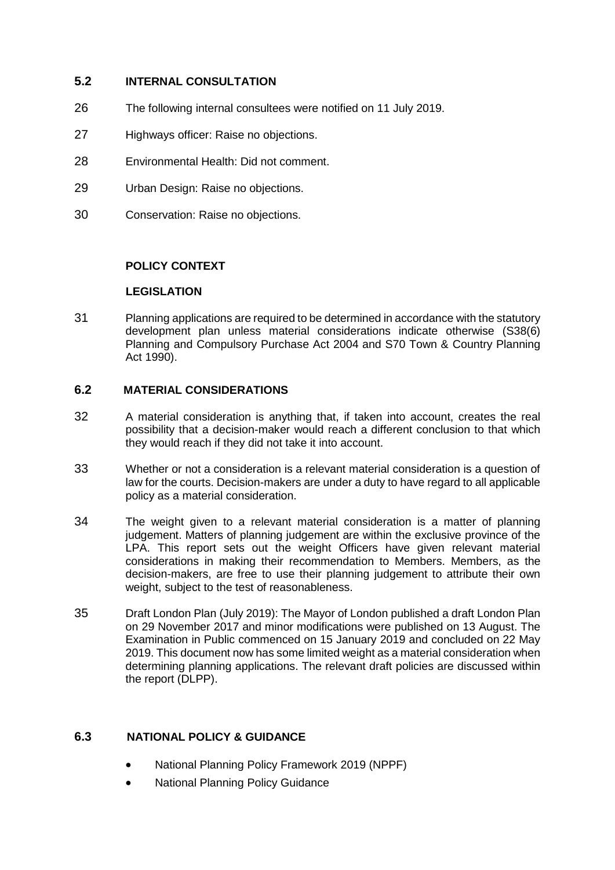# **5.2 INTERNAL CONSULTATION**

- 26 The following internal consultees were notified on 11 July 2019.
- 27 Highways officer: Raise no objections.
- 28 Environmental Health: Did not comment.
- 29 Urban Design: Raise no objections.
- 30 Conservation: Raise no objections.

# **POLICY CONTEXT**

## **LEGISLATION**

31 Planning applications are required to be determined in accordance with the statutory development plan unless material considerations indicate otherwise (S38(6) Planning and Compulsory Purchase Act 2004 and S70 Town & Country Planning Act 1990).

## **6.2 MATERIAL CONSIDERATIONS**

- 32 A material consideration is anything that, if taken into account, creates the real possibility that a decision-maker would reach a different conclusion to that which they would reach if they did not take it into account.
- 33 Whether or not a consideration is a relevant material consideration is a question of law for the courts. Decision-makers are under a duty to have regard to all applicable policy as a material consideration.
- 34 The weight given to a relevant material consideration is a matter of planning judgement. Matters of planning judgement are within the exclusive province of the LPA. This report sets out the weight Officers have given relevant material considerations in making their recommendation to Members. Members, as the decision-makers, are free to use their planning judgement to attribute their own weight, subject to the test of reasonableness.
- 35 Draft London Plan (July 2019): The Mayor of London published a draft London Plan on 29 November 2017 and minor modifications were published on 13 August. The Examination in Public commenced on 15 January 2019 and concluded on 22 May 2019. This document now has some limited weight as a material consideration when determining planning applications. The relevant draft policies are discussed within the report (DLPP).

# **6.3 NATIONAL POLICY & GUIDANCE**

- National Planning Policy Framework 2019 (NPPF)
- National Planning Policy Guidance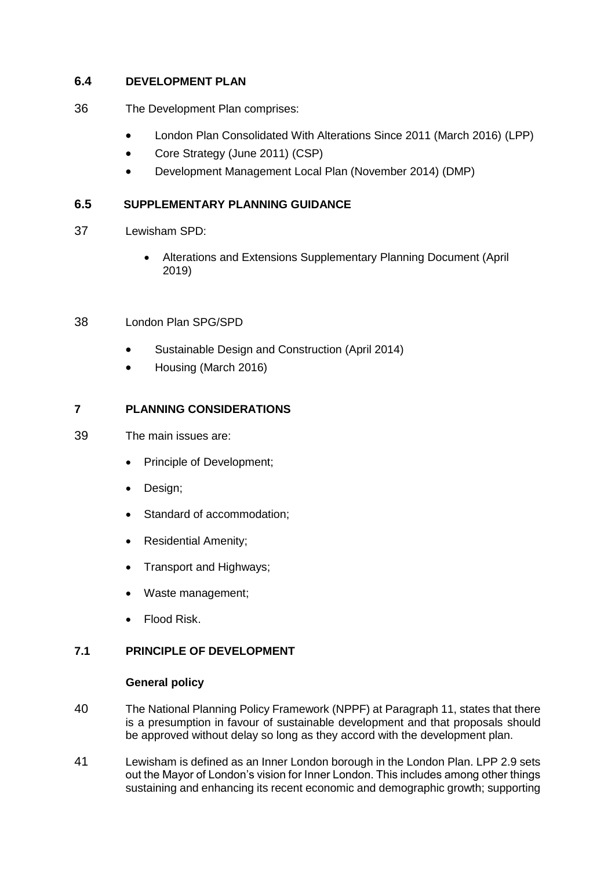# **6.4 DEVELOPMENT PLAN**

- 36 The Development Plan comprises:
	- London Plan Consolidated With Alterations Since 2011 (March 2016) (LPP)
	- Core Strategy (June 2011) (CSP)
	- Development Management Local Plan (November 2014) (DMP)

# **6.5 SUPPLEMENTARY PLANNING GUIDANCE**

- 37 Lewisham SPD:
	- Alterations and Extensions Supplementary Planning Document (April 2019)

# 38 London Plan SPG/SPD

- Sustainable Design and Construction (April 2014)
- Housing (March 2016)

# **7 PLANNING CONSIDERATIONS**

# 39 The main issues are:

- Principle of Development:
- Design;
- Standard of accommodation;
- Residential Amenity;
- Transport and Highways;
- Waste management;
- Flood Risk.

# **7.1 PRINCIPLE OF DEVELOPMENT**

# **General policy**

- 40 The National Planning Policy Framework (NPPF) at Paragraph 11, states that there is a presumption in favour of sustainable development and that proposals should be approved without delay so long as they accord with the development plan.
- 41 Lewisham is defined as an Inner London borough in the London Plan. LPP 2.9 sets out the Mayor of London's vision for Inner London. This includes among other things sustaining and enhancing its recent economic and demographic growth; supporting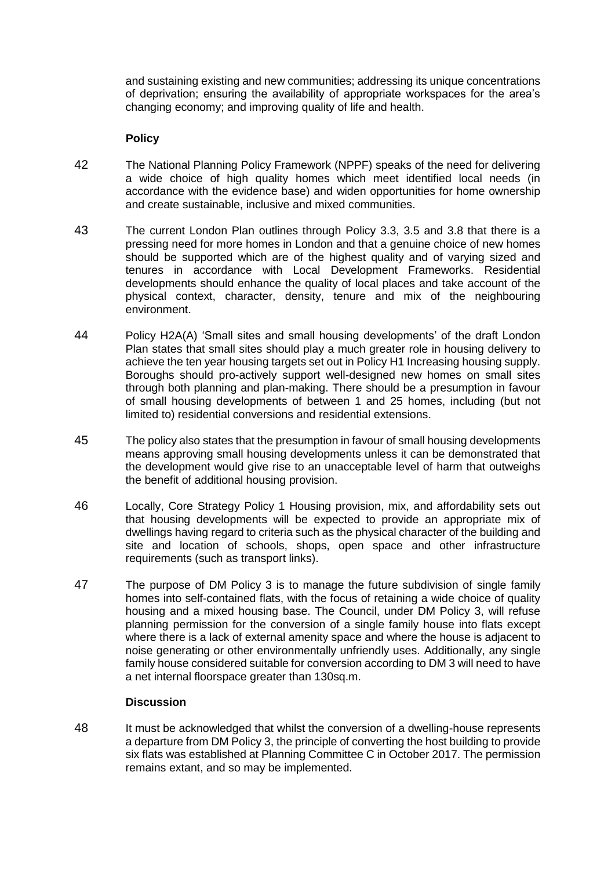and sustaining existing and new communities; addressing its unique concentrations of deprivation; ensuring the availability of appropriate workspaces for the area's changing economy; and improving quality of life and health.

## **Policy**

- 42 The National Planning Policy Framework (NPPF) speaks of the need for delivering a wide choice of high quality homes which meet identified local needs (in accordance with the evidence base) and widen opportunities for home ownership and create sustainable, inclusive and mixed communities.
- 43 The current London Plan outlines through Policy 3.3, 3.5 and 3.8 that there is a pressing need for more homes in London and that a genuine choice of new homes should be supported which are of the highest quality and of varying sized and tenures in accordance with Local Development Frameworks. Residential developments should enhance the quality of local places and take account of the physical context, character, density, tenure and mix of the neighbouring environment.
- 44 Policy H2A(A) 'Small sites and small housing developments' of the draft London Plan states that small sites should play a much greater role in housing delivery to achieve the ten year housing targets set out in Policy H1 Increasing housing supply. Boroughs should pro-actively support well-designed new homes on small sites through both planning and plan-making. There should be a presumption in favour of small housing developments of between 1 and 25 homes, including (but not limited to) residential conversions and residential extensions.
- 45 The policy also states that the presumption in favour of small housing developments means approving small housing developments unless it can be demonstrated that the development would give rise to an unacceptable level of harm that outweighs the benefit of additional housing provision.
- 46 Locally, Core Strategy Policy 1 Housing provision, mix, and affordability sets out that housing developments will be expected to provide an appropriate mix of dwellings having regard to criteria such as the physical character of the building and site and location of schools, shops, open space and other infrastructure requirements (such as transport links).
- 47 The purpose of DM Policy 3 is to manage the future subdivision of single family homes into self-contained flats, with the focus of retaining a wide choice of quality housing and a mixed housing base. The Council, under DM Policy 3, will refuse planning permission for the conversion of a single family house into flats except where there is a lack of external amenity space and where the house is adjacent to noise generating or other environmentally unfriendly uses. Additionally, any single family house considered suitable for conversion according to DM 3 will need to have a net internal floorspace greater than 130sq.m.

#### **Discussion**

48 It must be acknowledged that whilst the conversion of a dwelling-house represents a departure from DM Policy 3, the principle of converting the host building to provide six flats was established at Planning Committee C in October 2017. The permission remains extant, and so may be implemented.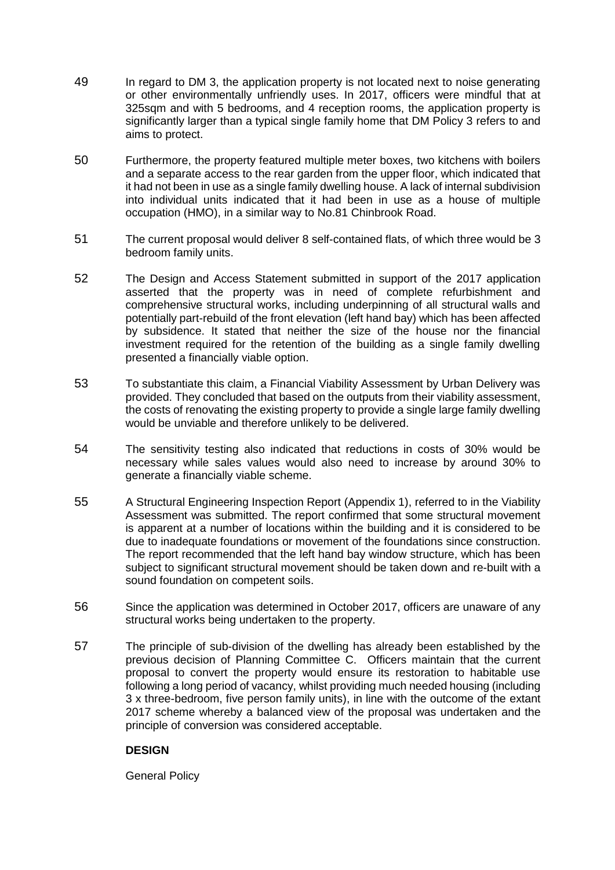- 49 In regard to DM 3, the application property is not located next to noise generating or other environmentally unfriendly uses. In 2017, officers were mindful that at 325sqm and with 5 bedrooms, and 4 reception rooms, the application property is significantly larger than a typical single family home that DM Policy 3 refers to and aims to protect.
- 50 Furthermore, the property featured multiple meter boxes, two kitchens with boilers and a separate access to the rear garden from the upper floor, which indicated that it had not been in use as a single family dwelling house. A lack of internal subdivision into individual units indicated that it had been in use as a house of multiple occupation (HMO), in a similar way to No.81 Chinbrook Road.
- 51 The current proposal would deliver 8 self-contained flats, of which three would be 3 bedroom family units.
- 52 The Design and Access Statement submitted in support of the 2017 application asserted that the property was in need of complete refurbishment and comprehensive structural works, including underpinning of all structural walls and potentially part-rebuild of the front elevation (left hand bay) which has been affected by subsidence. It stated that neither the size of the house nor the financial investment required for the retention of the building as a single family dwelling presented a financially viable option.
- 53 To substantiate this claim, a Financial Viability Assessment by Urban Delivery was provided. They concluded that based on the outputs from their viability assessment, the costs of renovating the existing property to provide a single large family dwelling would be unviable and therefore unlikely to be delivered.
- 54 The sensitivity testing also indicated that reductions in costs of 30% would be necessary while sales values would also need to increase by around 30% to generate a financially viable scheme.
- 55 A Structural Engineering Inspection Report (Appendix 1), referred to in the Viability Assessment was submitted. The report confirmed that some structural movement is apparent at a number of locations within the building and it is considered to be due to inadequate foundations or movement of the foundations since construction. The report recommended that the left hand bay window structure, which has been subject to significant structural movement should be taken down and re-built with a sound foundation on competent soils.
- 56 Since the application was determined in October 2017, officers are unaware of any structural works being undertaken to the property.
- 57 The principle of sub-division of the dwelling has already been established by the previous decision of Planning Committee C. Officers maintain that the current proposal to convert the property would ensure its restoration to habitable use following a long period of vacancy, whilst providing much needed housing (including 3 x three-bedroom, five person family units), in line with the outcome of the extant 2017 scheme whereby a balanced view of the proposal was undertaken and the principle of conversion was considered acceptable.

# **DESIGN**

General Policy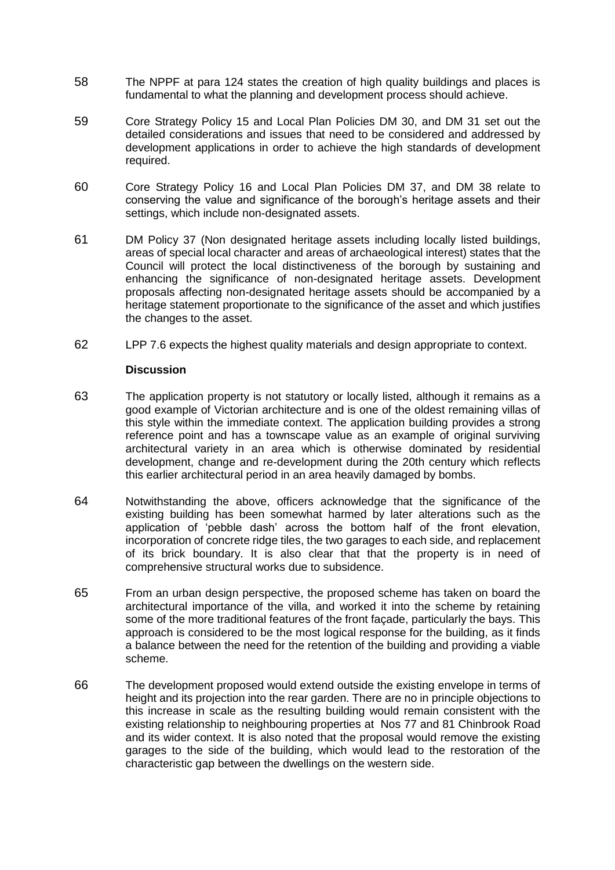- 58 The NPPF at para 124 states the creation of high quality buildings and places is fundamental to what the planning and development process should achieve.
- 59 Core Strategy Policy 15 and Local Plan Policies DM 30, and DM 31 set out the detailed considerations and issues that need to be considered and addressed by development applications in order to achieve the high standards of development required.
- 60 Core Strategy Policy 16 and Local Plan Policies DM 37, and DM 38 relate to conserving the value and significance of the borough's heritage assets and their settings, which include non-designated assets.
- 61 DM Policy 37 (Non designated heritage assets including locally listed buildings, areas of special local character and areas of archaeological interest) states that the Council will protect the local distinctiveness of the borough by sustaining and enhancing the significance of non-designated heritage assets. Development proposals affecting non-designated heritage assets should be accompanied by a heritage statement proportionate to the significance of the asset and which justifies the changes to the asset.
- 62 LPP 7.6 expects the highest quality materials and design appropriate to context.

#### **Discussion**

- 63 The application property is not statutory or locally listed, although it remains as a good example of Victorian architecture and is one of the oldest remaining villas of this style within the immediate context. The application building provides a strong reference point and has a townscape value as an example of original surviving architectural variety in an area which is otherwise dominated by residential development, change and re-development during the 20th century which reflects this earlier architectural period in an area heavily damaged by bombs.
- 64 Notwithstanding the above, officers acknowledge that the significance of the existing building has been somewhat harmed by later alterations such as the application of 'pebble dash' across the bottom half of the front elevation, incorporation of concrete ridge tiles, the two garages to each side, and replacement of its brick boundary. It is also clear that that the property is in need of comprehensive structural works due to subsidence.
- 65 From an urban design perspective, the proposed scheme has taken on board the architectural importance of the villa, and worked it into the scheme by retaining some of the more traditional features of the front façade, particularly the bays. This approach is considered to be the most logical response for the building, as it finds a balance between the need for the retention of the building and providing a viable scheme.
- 66 The development proposed would extend outside the existing envelope in terms of height and its projection into the rear garden. There are no in principle objections to this increase in scale as the resulting building would remain consistent with the existing relationship to neighbouring properties at Nos 77 and 81 Chinbrook Road and its wider context. It is also noted that the proposal would remove the existing garages to the side of the building, which would lead to the restoration of the characteristic gap between the dwellings on the western side.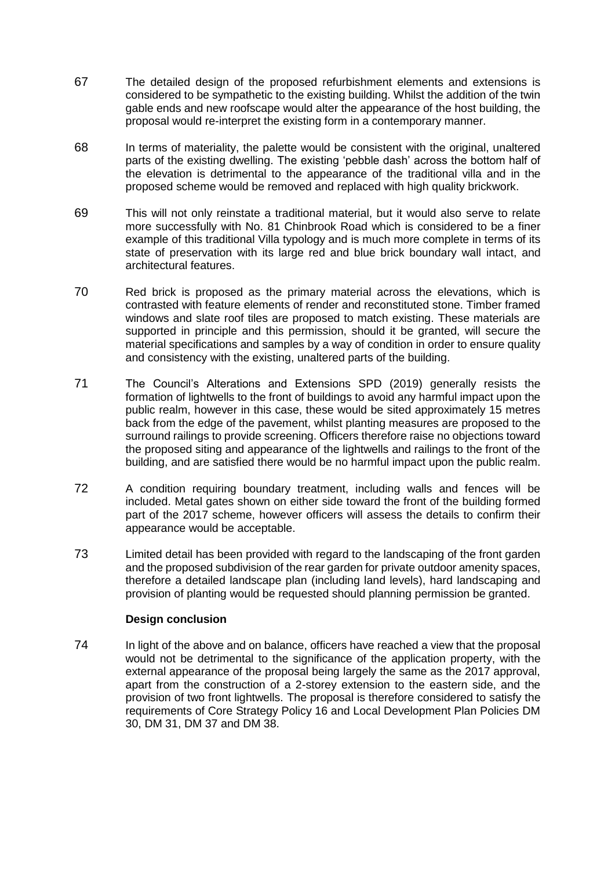- 67 The detailed design of the proposed refurbishment elements and extensions is considered to be sympathetic to the existing building. Whilst the addition of the twin gable ends and new roofscape would alter the appearance of the host building, the proposal would re-interpret the existing form in a contemporary manner.
- 68 In terms of materiality, the palette would be consistent with the original, unaltered parts of the existing dwelling. The existing 'pebble dash' across the bottom half of the elevation is detrimental to the appearance of the traditional villa and in the proposed scheme would be removed and replaced with high quality brickwork.
- 69 This will not only reinstate a traditional material, but it would also serve to relate more successfully with No. 81 Chinbrook Road which is considered to be a finer example of this traditional Villa typology and is much more complete in terms of its state of preservation with its large red and blue brick boundary wall intact, and architectural features.
- 70 Red brick is proposed as the primary material across the elevations, which is contrasted with feature elements of render and reconstituted stone. Timber framed windows and slate roof tiles are proposed to match existing. These materials are supported in principle and this permission, should it be granted, will secure the material specifications and samples by a way of condition in order to ensure quality and consistency with the existing, unaltered parts of the building.
- 71 The Council's Alterations and Extensions SPD (2019) generally resists the formation of lightwells to the front of buildings to avoid any harmful impact upon the public realm, however in this case, these would be sited approximately 15 metres back from the edge of the pavement, whilst planting measures are proposed to the surround railings to provide screening. Officers therefore raise no objections toward the proposed siting and appearance of the lightwells and railings to the front of the building, and are satisfied there would be no harmful impact upon the public realm.
- 72 A condition requiring boundary treatment, including walls and fences will be included. Metal gates shown on either side toward the front of the building formed part of the 2017 scheme, however officers will assess the details to confirm their appearance would be acceptable.
- 73 Limited detail has been provided with regard to the landscaping of the front garden and the proposed subdivision of the rear garden for private outdoor amenity spaces, therefore a detailed landscape plan (including land levels), hard landscaping and provision of planting would be requested should planning permission be granted.

# **Design conclusion**

74 In light of the above and on balance, officers have reached a view that the proposal would not be detrimental to the significance of the application property, with the external appearance of the proposal being largely the same as the 2017 approval, apart from the construction of a 2-storey extension to the eastern side, and the provision of two front lightwells. The proposal is therefore considered to satisfy the requirements of Core Strategy Policy 16 and Local Development Plan Policies DM 30, DM 31, DM 37 and DM 38.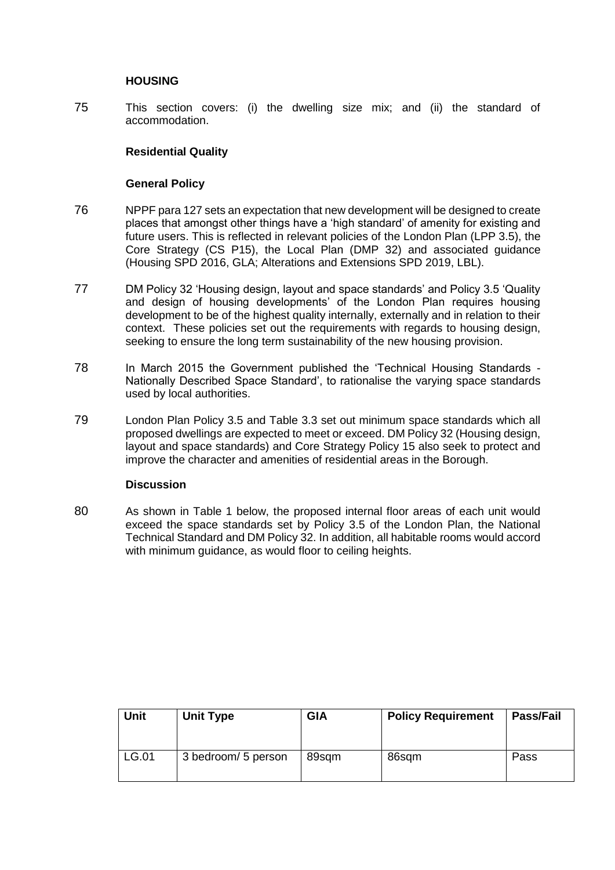### **HOUSING**

75 This section covers: (i) the dwelling size mix; and (ii) the standard of accommodation.

# **Residential Quality**

## **General Policy**

- 76 NPPF para 127 sets an expectation that new development will be designed to create places that amongst other things have a 'high standard' of amenity for existing and future users. This is reflected in relevant policies of the London Plan (LPP 3.5), the Core Strategy (CS P15), the Local Plan (DMP 32) and associated guidance (Housing SPD 2016, GLA; Alterations and Extensions SPD 2019, LBL).
- 77 DM Policy 32 'Housing design, layout and space standards' and Policy 3.5 'Quality and design of housing developments' of the London Plan requires housing development to be of the highest quality internally, externally and in relation to their context. These policies set out the requirements with regards to housing design, seeking to ensure the long term sustainability of the new housing provision.
- 78 In March 2015 the Government published the 'Technical Housing Standards Nationally Described Space Standard', to rationalise the varying space standards used by local authorities.
- 79 London Plan Policy 3.5 and Table 3.3 set out minimum space standards which all proposed dwellings are expected to meet or exceed. DM Policy 32 (Housing design, layout and space standards) and Core Strategy Policy 15 also seek to protect and improve the character and amenities of residential areas in the Borough.

#### **Discussion**

80 As shown in Table 1 below, the proposed internal floor areas of each unit would exceed the space standards set by Policy 3.5 of the London Plan, the National Technical Standard and DM Policy 32. In addition, all habitable rooms would accord with minimum guidance, as would floor to ceiling heights.

| <b>Unit</b> | <b>Unit Type</b>    | <b>GIA</b> | <b>Policy Requirement</b> | Pass/Fail |
|-------------|---------------------|------------|---------------------------|-----------|
| LG.01       | 3 bedroom/ 5 person | 89sqm      | 86sqm                     | Pass      |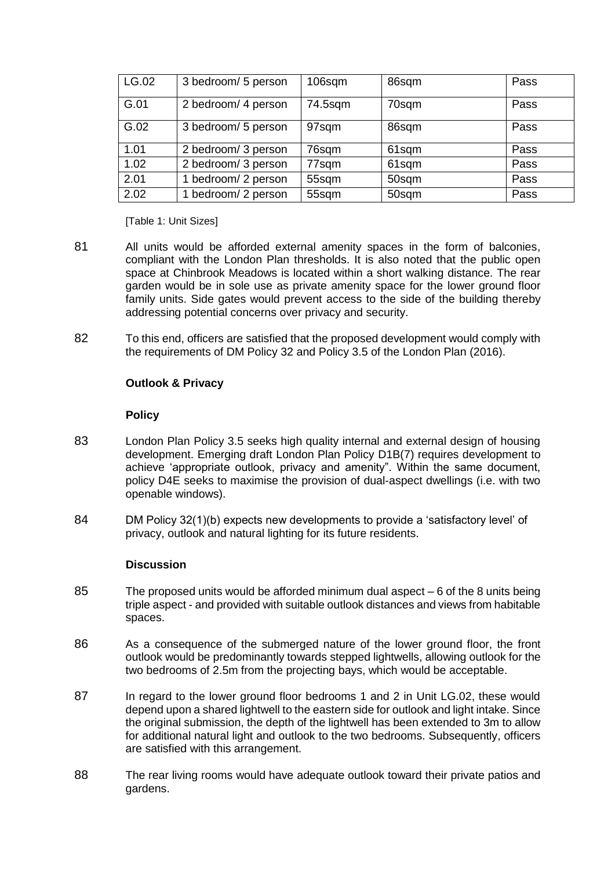| LG.02 | 3 bedroom/ 5 person | 106sqm  | 86sqm | Pass |
|-------|---------------------|---------|-------|------|
| G.01  | 2 bedroom/ 4 person | 74.5sqm | 70sqm | Pass |
| G.02  | 3 bedroom/ 5 person | 97sqm   | 86sqm | Pass |
| 1.01  | 2 bedroom/ 3 person | 76sqm   | 61sqm | Pass |
| 1.02  | 2 bedroom/ 3 person | 77sqm   | 61sqm | Pass |
| 2.01  | 1 bedroom/ 2 person | 55sqm   | 50sqm | Pass |
| 2.02  | 1 bedroom/ 2 person | 55sqm   | 50sqm | Pass |

[Table 1: Unit Sizes]

- 81 All units would be afforded external amenity spaces in the form of balconies, compliant with the London Plan thresholds. It is also noted that the public open space at Chinbrook Meadows is located within a short walking distance. The rear garden would be in sole use as private amenity space for the lower ground floor family units. Side gates would prevent access to the side of the building thereby addressing potential concerns over privacy and security.
- 82 To this end, officers are satisfied that the proposed development would comply with the requirements of DM Policy 32 and Policy 3.5 of the London Plan (2016).

# **Outlook & Privacy**

### **Policy**

- 83 London Plan Policy 3.5 seeks high quality internal and external design of housing development. Emerging draft London Plan Policy D1B(7) requires development to achieve 'appropriate outlook, privacy and amenity". Within the same document, policy D4E seeks to maximise the provision of dual-aspect dwellings (i.e. with two openable windows).
- 84 DM Policy 32(1)(b) expects new developments to provide a 'satisfactory level' of privacy, outlook and natural lighting for its future residents.

### **Discussion**

- 85 The proposed units would be afforded minimum dual aspect 6 of the 8 units being triple aspect - and provided with suitable outlook distances and views from habitable spaces.
- 86 As a consequence of the submerged nature of the lower ground floor, the front outlook would be predominantly towards stepped lightwells, allowing outlook for the two bedrooms of 2.5m from the projecting bays, which would be acceptable.
- 87 In regard to the lower ground floor bedrooms 1 and 2 in Unit LG.02, these would depend upon a shared lightwell to the eastern side for outlook and light intake. Since the original submission, the depth of the lightwell has been extended to 3m to allow for additional natural light and outlook to the two bedrooms. Subsequently, officers are satisfied with this arrangement.
- 88 The rear living rooms would have adequate outlook toward their private patios and gardens.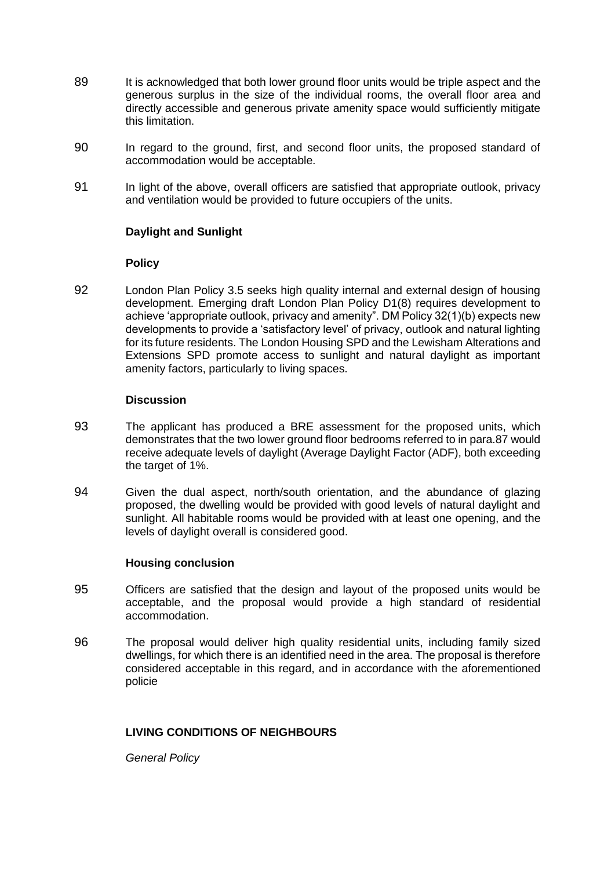- 89 It is acknowledged that both lower ground floor units would be triple aspect and the generous surplus in the size of the individual rooms, the overall floor area and directly accessible and generous private amenity space would sufficiently mitigate this limitation.
- 90 In regard to the ground, first, and second floor units, the proposed standard of accommodation would be acceptable.
- 91 In light of the above, overall officers are satisfied that appropriate outlook, privacy and ventilation would be provided to future occupiers of the units.

# **Daylight and Sunlight**

#### **Policy**

92 London Plan Policy 3.5 seeks high quality internal and external design of housing development. Emerging draft London Plan Policy D1(8) requires development to achieve 'appropriate outlook, privacy and amenity". DM Policy 32(1)(b) expects new developments to provide a 'satisfactory level' of privacy, outlook and natural lighting for its future residents. The London Housing SPD and the Lewisham Alterations and Extensions SPD promote access to sunlight and natural daylight as important amenity factors, particularly to living spaces.

#### **Discussion**

- 93 The applicant has produced a BRE assessment for the proposed units, which demonstrates that the two lower ground floor bedrooms referred to in para.87 would receive adequate levels of daylight (Average Daylight Factor (ADF), both exceeding the target of 1%.
- 94 Given the dual aspect, north/south orientation, and the abundance of glazing proposed, the dwelling would be provided with good levels of natural daylight and sunlight. All habitable rooms would be provided with at least one opening, and the levels of daylight overall is considered good.

#### **Housing conclusion**

- 95 Officers are satisfied that the design and layout of the proposed units would be acceptable, and the proposal would provide a high standard of residential accommodation.
- 96 The proposal would deliver high quality residential units, including family sized dwellings, for which there is an identified need in the area. The proposal is therefore considered acceptable in this regard, and in accordance with the aforementioned policie

# **LIVING CONDITIONS OF NEIGHBOURS**

*General Policy*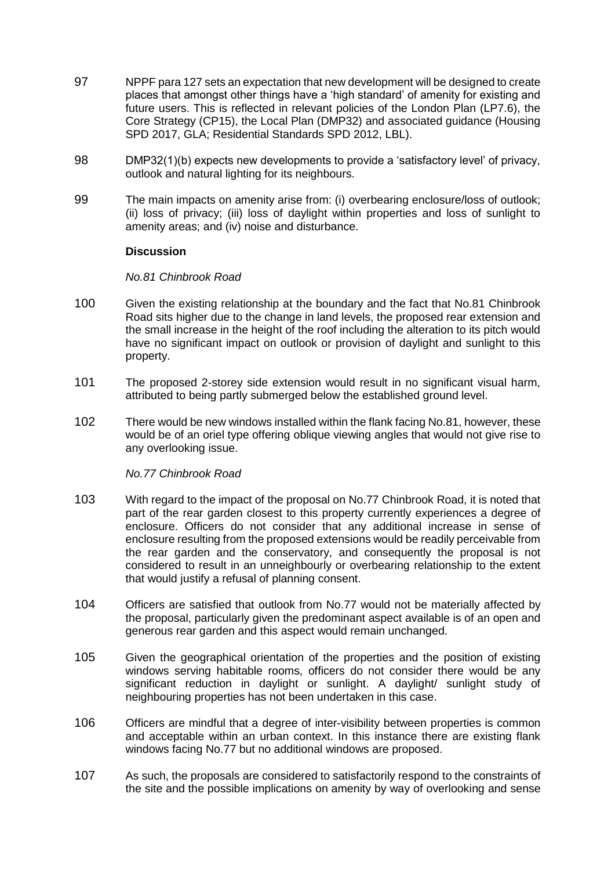- 97 NPPF para 127 sets an expectation that new development will be designed to create places that amongst other things have a 'high standard' of amenity for existing and future users. This is reflected in relevant policies of the London Plan (LP7.6), the Core Strategy (CP15), the Local Plan (DMP32) and associated guidance (Housing SPD 2017, GLA; Residential Standards SPD 2012, LBL).
- 98 DMP32(1)(b) expects new developments to provide a 'satisfactory level' of privacy, outlook and natural lighting for its neighbours.
- 99 The main impacts on amenity arise from: (i) overbearing enclosure/loss of outlook; (ii) loss of privacy; (iii) loss of daylight within properties and loss of sunlight to amenity areas; and (iv) noise and disturbance.

### **Discussion**

### *No.81 Chinbrook Road*

- 100 Given the existing relationship at the boundary and the fact that No.81 Chinbrook Road sits higher due to the change in land levels, the proposed rear extension and the small increase in the height of the roof including the alteration to its pitch would have no significant impact on outlook or provision of daylight and sunlight to this property.
- 101 The proposed 2-storey side extension would result in no significant visual harm, attributed to being partly submerged below the established ground level.
- 102 There would be new windows installed within the flank facing No.81, however, these would be of an oriel type offering oblique viewing angles that would not give rise to any overlooking issue.

#### *No.77 Chinbrook Road*

- 103 With regard to the impact of the proposal on No.77 Chinbrook Road, it is noted that part of the rear garden closest to this property currently experiences a degree of enclosure. Officers do not consider that any additional increase in sense of enclosure resulting from the proposed extensions would be readily perceivable from the rear garden and the conservatory, and consequently the proposal is not considered to result in an unneighbourly or overbearing relationship to the extent that would justify a refusal of planning consent.
- 104 Officers are satisfied that outlook from No.77 would not be materially affected by the proposal, particularly given the predominant aspect available is of an open and generous rear garden and this aspect would remain unchanged.
- 105 Given the geographical orientation of the properties and the position of existing windows serving habitable rooms, officers do not consider there would be any significant reduction in daylight or sunlight. A daylight/ sunlight study of neighbouring properties has not been undertaken in this case.
- 106 Officers are mindful that a degree of inter-visibility between properties is common and acceptable within an urban context. In this instance there are existing flank windows facing No.77 but no additional windows are proposed.
- 107 As such, the proposals are considered to satisfactorily respond to the constraints of the site and the possible implications on amenity by way of overlooking and sense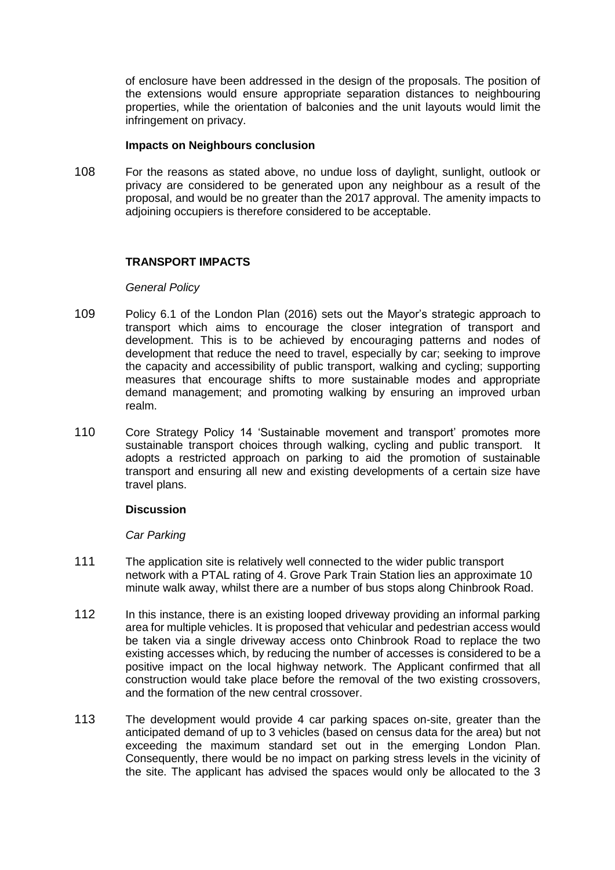of enclosure have been addressed in the design of the proposals. The position of the extensions would ensure appropriate separation distances to neighbouring properties, while the orientation of balconies and the unit layouts would limit the infringement on privacy.

#### **Impacts on Neighbours conclusion**

108 For the reasons as stated above, no undue loss of daylight, sunlight, outlook or privacy are considered to be generated upon any neighbour as a result of the proposal, and would be no greater than the 2017 approval. The amenity impacts to adjoining occupiers is therefore considered to be acceptable.

### **TRANSPORT IMPACTS**

#### *General Policy*

- 109 Policy 6.1 of the London Plan (2016) sets out the Mayor's strategic approach to transport which aims to encourage the closer integration of transport and development. This is to be achieved by encouraging patterns and nodes of development that reduce the need to travel, especially by car; seeking to improve the capacity and accessibility of public transport, walking and cycling; supporting measures that encourage shifts to more sustainable modes and appropriate demand management; and promoting walking by ensuring an improved urban realm.
- 110 Core Strategy Policy 14 'Sustainable movement and transport' promotes more sustainable transport choices through walking, cycling and public transport. It adopts a restricted approach on parking to aid the promotion of sustainable transport and ensuring all new and existing developments of a certain size have travel plans.

#### **Discussion**

# *Car Parking*

- 111 The application site is relatively well connected to the wider public transport network with a PTAL rating of 4. Grove Park Train Station lies an approximate 10 minute walk away, whilst there are a number of bus stops along Chinbrook Road.
- 112 In this instance, there is an existing looped driveway providing an informal parking area for multiple vehicles. It is proposed that vehicular and pedestrian access would be taken via a single driveway access onto Chinbrook Road to replace the two existing accesses which, by reducing the number of accesses is considered to be a positive impact on the local highway network. The Applicant confirmed that all construction would take place before the removal of the two existing crossovers, and the formation of the new central crossover.
- 113 The development would provide 4 car parking spaces on-site, greater than the anticipated demand of up to 3 vehicles (based on census data for the area) but not exceeding the maximum standard set out in the emerging London Plan. Consequently, there would be no impact on parking stress levels in the vicinity of the site. The applicant has advised the spaces would only be allocated to the 3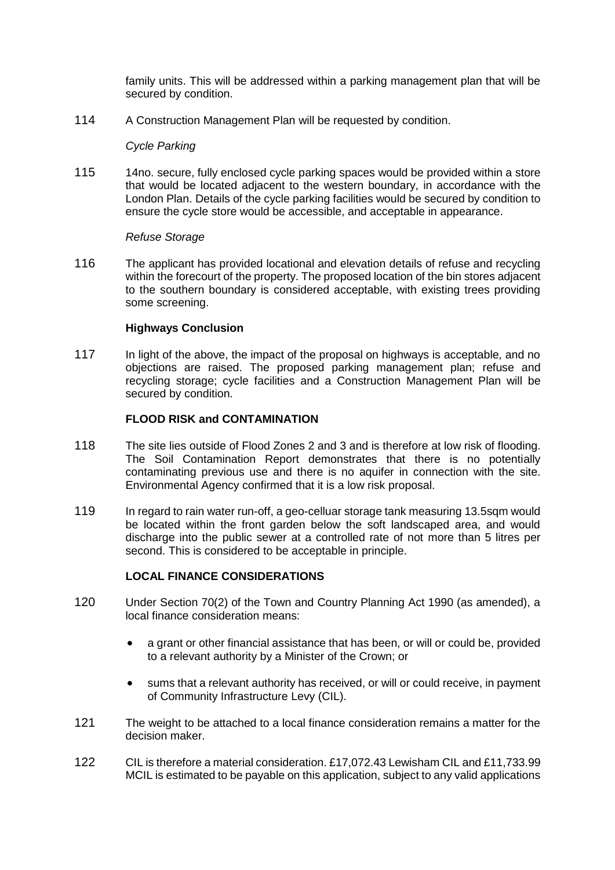family units. This will be addressed within a parking management plan that will be secured by condition.

114 A Construction Management Plan will be requested by condition.

### *Cycle Parking*

115 14no. secure, fully enclosed cycle parking spaces would be provided within a store that would be located adjacent to the western boundary, in accordance with the London Plan. Details of the cycle parking facilities would be secured by condition to ensure the cycle store would be accessible, and acceptable in appearance.

### *Refuse Storage*

116 The applicant has provided locational and elevation details of refuse and recycling within the forecourt of the property. The proposed location of the bin stores adjacent to the southern boundary is considered acceptable, with existing trees providing some screening.

### **Highways Conclusion**

117 In light of the above, the impact of the proposal on highways is acceptable, and no objections are raised. The proposed parking management plan; refuse and recycling storage; cycle facilities and a Construction Management Plan will be secured by condition.

# **FLOOD RISK and CONTAMINATION**

- 118 The site lies outside of Flood Zones 2 and 3 and is therefore at low risk of flooding. The Soil Contamination Report demonstrates that there is no potentially contaminating previous use and there is no aquifer in connection with the site. Environmental Agency confirmed that it is a low risk proposal.
- 119 In regard to rain water run-off, a geo-celluar storage tank measuring 13.5sqm would be located within the front garden below the soft landscaped area, and would discharge into the public sewer at a controlled rate of not more than 5 litres per second. This is considered to be acceptable in principle.

# **LOCAL FINANCE CONSIDERATIONS**

- 120 Under Section 70(2) of the Town and Country Planning Act 1990 (as amended), a local finance consideration means:
	- a grant or other financial assistance that has been, or will or could be, provided to a relevant authority by a Minister of the Crown; or
	- sums that a relevant authority has received, or will or could receive, in payment of Community Infrastructure Levy (CIL).
- 121 The weight to be attached to a local finance consideration remains a matter for the decision maker.
- 122 CIL is therefore a material consideration. £17,072.43 Lewisham CIL and £11,733.99 MCIL is estimated to be payable on this application, subject to any valid applications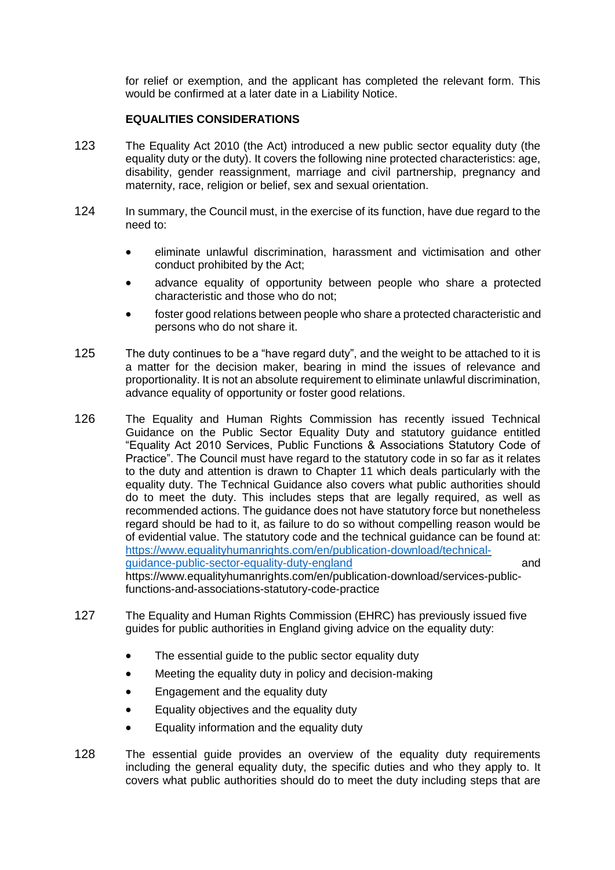for relief or exemption, and the applicant has completed the relevant form. This would be confirmed at a later date in a Liability Notice.

# **EQUALITIES CONSIDERATIONS**

- 123 The Equality Act 2010 (the Act) introduced a new public sector equality duty (the equality duty or the duty). It covers the following nine protected characteristics: age, disability, gender reassignment, marriage and civil partnership, pregnancy and maternity, race, religion or belief, sex and sexual orientation.
- 124 In summary, the Council must, in the exercise of its function, have due regard to the need to:
	- eliminate unlawful discrimination, harassment and victimisation and other conduct prohibited by the Act;
	- advance equality of opportunity between people who share a protected characteristic and those who do not;
	- foster good relations between people who share a protected characteristic and persons who do not share it.
- 125 The duty continues to be a "have regard duty", and the weight to be attached to it is a matter for the decision maker, bearing in mind the issues of relevance and proportionality. It is not an absolute requirement to eliminate unlawful discrimination, advance equality of opportunity or foster good relations.
- 126 The Equality and Human Rights Commission has recently issued Technical Guidance on the Public Sector Equality Duty and statutory guidance entitled "Equality Act 2010 Services, Public Functions & Associations Statutory Code of Practice". The Council must have regard to the statutory code in so far as it relates to the duty and attention is drawn to Chapter 11 which deals particularly with the equality duty. The Technical Guidance also covers what public authorities should do to meet the duty. This includes steps that are legally required, as well as recommended actions. The guidance does not have statutory force but nonetheless regard should be had to it, as failure to do so without compelling reason would be of evidential value. The statutory code and the technical guidance can be found at: [https://www.equalityhumanrights.com/en/publication-download/technical](https://www.equalityhumanrights.com/en/publication-download/technical-guidance-public-sector-equality-duty-england)quidance-public-sector-equality-duty-england and and https://www.equalityhumanrights.com/en/publication-download/services-publicfunctions-and-associations-statutory-code-practice
- 127 The Equality and Human Rights Commission (EHRC) has previously issued five guides for public authorities in England giving advice on the equality duty:
	- The essential quide to the public sector equality duty
	- Meeting the equality duty in policy and decision-making
	- Engagement and the equality duty
	- **Equality objectives and the equality duty**
	- **•** Equality information and the equality duty
- 128 The essential guide provides an overview of the equality duty requirements including the general equality duty, the specific duties and who they apply to. It covers what public authorities should do to meet the duty including steps that are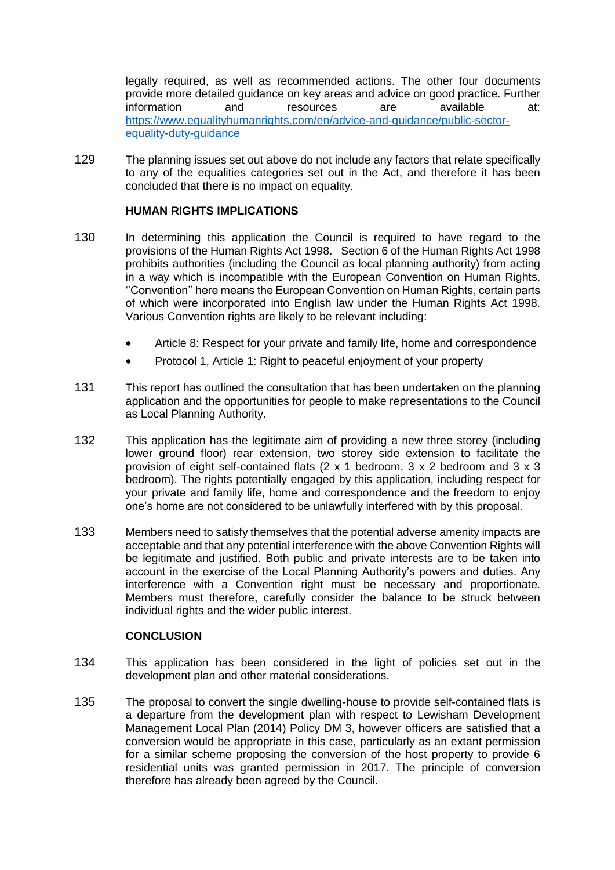legally required, as well as recommended actions. The other four documents provide more detailed guidance on key areas and advice on good practice. Further information and resources are available at: [https://www.equalityhumanrights.com/en/advice-and-guidance/public-sector](https://www.equalityhumanrights.com/en/advice-and-guidance/public-sector-equality-duty-guidance)[equality-duty-guidance](https://www.equalityhumanrights.com/en/advice-and-guidance/public-sector-equality-duty-guidance)

129 The planning issues set out above do not include any factors that relate specifically to any of the equalities categories set out in the Act, and therefore it has been concluded that there is no impact on equality.

# **HUMAN RIGHTS IMPLICATIONS**

- 130 In determining this application the Council is required to have regard to the provisions of the Human Rights Act 1998. Section 6 of the Human Rights Act 1998 prohibits authorities (including the Council as local planning authority) from acting in a way which is incompatible with the European Convention on Human Rights. ''Convention'' here means the European Convention on Human Rights, certain parts of which were incorporated into English law under the Human Rights Act 1998. Various Convention rights are likely to be relevant including:
	- Article 8: Respect for your private and family life, home and correspondence
	- Protocol 1, Article 1: Right to peaceful enjoyment of your property
- 131 This report has outlined the consultation that has been undertaken on the planning application and the opportunities for people to make representations to the Council as Local Planning Authority.
- 132 This application has the legitimate aim of providing a new three storey (including lower ground floor) rear extension, two storey side extension to facilitate the provision of eight self-contained flats (2 x 1 bedroom, 3 x 2 bedroom and 3 x 3 bedroom). The rights potentially engaged by this application, including respect for your private and family life, home and correspondence and the freedom to enjoy one's home are not considered to be unlawfully interfered with by this proposal.
- 133 Members need to satisfy themselves that the potential adverse amenity impacts are acceptable and that any potential interference with the above Convention Rights will be legitimate and justified. Both public and private interests are to be taken into account in the exercise of the Local Planning Authority's powers and duties. Any interference with a Convention right must be necessary and proportionate. Members must therefore, carefully consider the balance to be struck between individual rights and the wider public interest.

# **CONCLUSION**

- 134 This application has been considered in the light of policies set out in the development plan and other material considerations.
- 135 The proposal to convert the single dwelling-house to provide self-contained flats is a departure from the development plan with respect to Lewisham Development Management Local Plan (2014) Policy DM 3, however officers are satisfied that a conversion would be appropriate in this case, particularly as an extant permission for a similar scheme proposing the conversion of the host property to provide 6 residential units was granted permission in 2017. The principle of conversion therefore has already been agreed by the Council.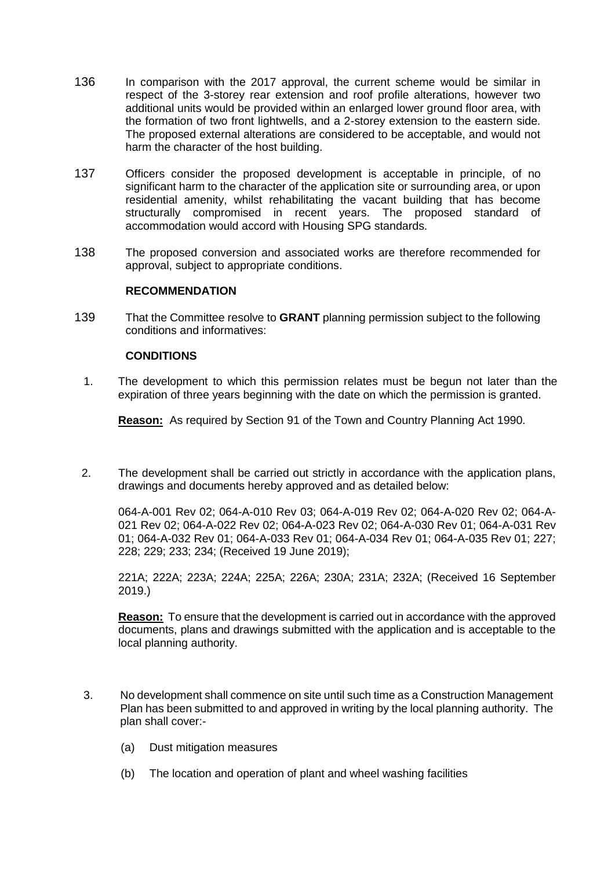- 136 In comparison with the 2017 approval, the current scheme would be similar in respect of the 3-storey rear extension and roof profile alterations, however two additional units would be provided within an enlarged lower ground floor area, with the formation of two front lightwells, and a 2-storey extension to the eastern side. The proposed external alterations are considered to be acceptable, and would not harm the character of the host building.
- 137 Officers consider the proposed development is acceptable in principle, of no significant harm to the character of the application site or surrounding area, or upon residential amenity, whilst rehabilitating the vacant building that has become structurally compromised in recent years. The proposed standard of accommodation would accord with Housing SPG standards.
- 138 The proposed conversion and associated works are therefore recommended for approval, subject to appropriate conditions.

# **RECOMMENDATION**

139 That the Committee resolve to **GRANT** planning permission subject to the following conditions and informatives:

### **CONDITIONS**

1. The development to which this permission relates must be begun not later than the expiration of three years beginning with the date on which the permission is granted.

**Reason:** As required by Section 91 of the Town and Country Planning Act 1990.

2. The development shall be carried out strictly in accordance with the application plans, drawings and documents hereby approved and as detailed below:

064-A-001 Rev 02; 064-A-010 Rev 03; 064-A-019 Rev 02; 064-A-020 Rev 02; 064-A-021 Rev 02; 064-A-022 Rev 02; 064-A-023 Rev 02; 064-A-030 Rev 01; 064-A-031 Rev 01; 064-A-032 Rev 01; 064-A-033 Rev 01; 064-A-034 Rev 01; 064-A-035 Rev 01; 227; 228; 229; 233; 234; (Received 19 June 2019);

221A; 222A; 223A; 224A; 225A; 226A; 230A; 231A; 232A; (Received 16 September 2019.)

**Reason:** To ensure that the development is carried out in accordance with the approved documents, plans and drawings submitted with the application and is acceptable to the local planning authority.

- 3. No development shall commence on site until such time as a Construction Management Plan has been submitted to and approved in writing by the local planning authority. The plan shall cover:-
	- (a) Dust mitigation measures
	- (b) The location and operation of plant and wheel washing facilities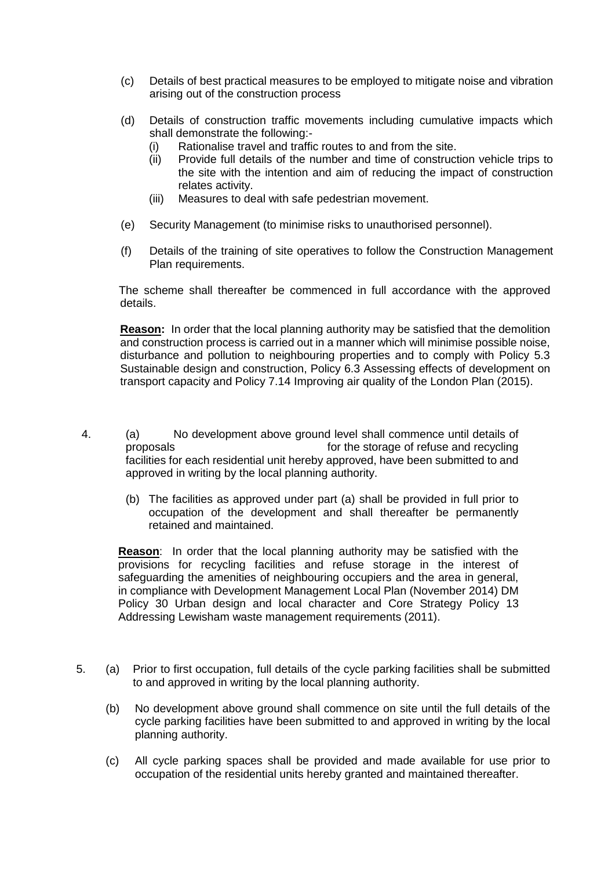- (c) Details of best practical measures to be employed to mitigate noise and vibration arising out of the construction process
- (d) Details of construction traffic movements including cumulative impacts which shall demonstrate the following:-
	- (i) Rationalise travel and traffic routes to and from the site.
	- (ii) Provide full details of the number and time of construction vehicle trips to the site with the intention and aim of reducing the impact of construction relates activity.
	- (iii) Measures to deal with safe pedestrian movement.
- (e) Security Management (to minimise risks to unauthorised personnel).
- (f) Details of the training of site operatives to follow the Construction Management Plan requirements.

The scheme shall thereafter be commenced in full accordance with the approved details.

**Reason:** In order that the local planning authority may be satisfied that the demolition and construction process is carried out in a manner which will minimise possible noise, disturbance and pollution to neighbouring properties and to comply with Policy 5.3 Sustainable design and construction, Policy 6.3 Assessing effects of development on transport capacity and Policy 7.14 Improving air quality of the London Plan (2015).

- 4. (a) No development above ground level shall commence until details of proposals for the storage of refuse and recycling facilities for each residential unit hereby approved, have been submitted to and approved in writing by the local planning authority.
	- (b) The facilities as approved under part (a) shall be provided in full prior to occupation of the development and shall thereafter be permanently retained and maintained.

**Reason**: In order that the local planning authority may be satisfied with the provisions for recycling facilities and refuse storage in the interest of safeguarding the amenities of neighbouring occupiers and the area in general, in compliance with Development Management Local Plan (November 2014) DM Policy 30 Urban design and local character and Core Strategy Policy 13 Addressing Lewisham waste management requirements (2011).

- 5. (a) Prior to first occupation, full details of the cycle parking facilities shall be submitted to and approved in writing by the local planning authority.
	- (b) No development above ground shall commence on site until the full details of the cycle parking facilities have been submitted to and approved in writing by the local planning authority.
	- (c) All cycle parking spaces shall be provided and made available for use prior to occupation of the residential units hereby granted and maintained thereafter.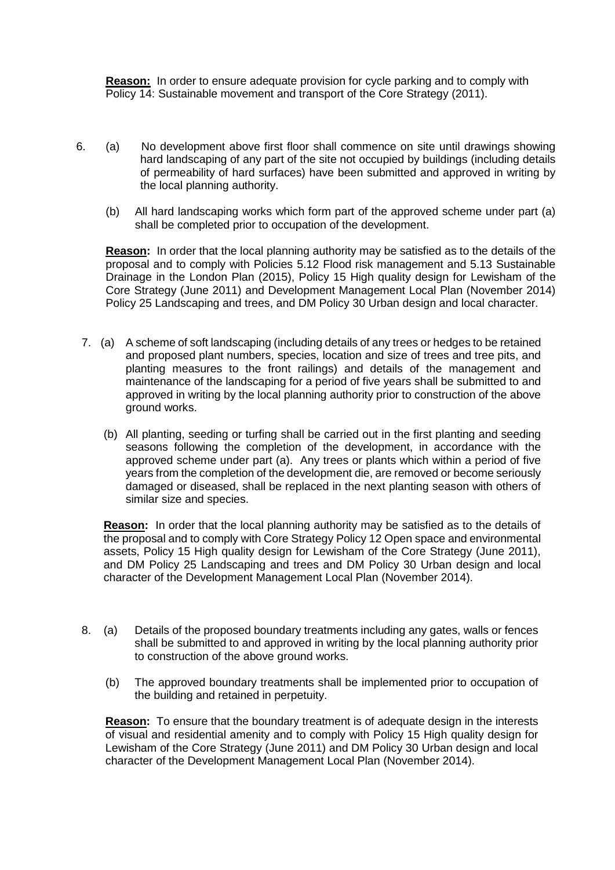**Reason:** In order to ensure adequate provision for cycle parking and to comply with Policy 14: Sustainable movement and transport of the Core Strategy (2011).

- 6. (a) No development above first floor shall commence on site until drawings showing hard landscaping of any part of the site not occupied by buildings (including details of permeability of hard surfaces) have been submitted and approved in writing by the local planning authority.
	- (b) All hard landscaping works which form part of the approved scheme under part (a) shall be completed prior to occupation of the development.

**Reason:** In order that the local planning authority may be satisfied as to the details of the proposal and to comply with Policies 5.12 Flood risk management and 5.13 Sustainable Drainage in the London Plan (2015), Policy 15 High quality design for Lewisham of the Core Strategy (June 2011) and Development Management Local Plan (November 2014) Policy 25 Landscaping and trees, and DM Policy 30 Urban design and local character.

- 7. (a) A scheme of soft landscaping (including details of any trees or hedges to be retained and proposed plant numbers, species, location and size of trees and tree pits, and planting measures to the front railings) and details of the management and maintenance of the landscaping for a period of five years shall be submitted to and approved in writing by the local planning authority prior to construction of the above ground works.
	- (b) All planting, seeding or turfing shall be carried out in the first planting and seeding seasons following the completion of the development, in accordance with the approved scheme under part (a). Any trees or plants which within a period of five years from the completion of the development die, are removed or become seriously damaged or diseased, shall be replaced in the next planting season with others of similar size and species.

**Reason:** In order that the local planning authority may be satisfied as to the details of the proposal and to comply with Core Strategy Policy 12 Open space and environmental assets, Policy 15 High quality design for Lewisham of the Core Strategy (June 2011), and DM Policy 25 Landscaping and trees and DM Policy 30 Urban design and local character of the Development Management Local Plan (November 2014).

- 8. (a) Details of the proposed boundary treatments including any gates, walls or fences shall be submitted to and approved in writing by the local planning authority prior to construction of the above ground works.
	- (b) The approved boundary treatments shall be implemented prior to occupation of the building and retained in perpetuity.

**Reason:** To ensure that the boundary treatment is of adequate design in the interests of visual and residential amenity and to comply with Policy 15 High quality design for Lewisham of the Core Strategy (June 2011) and DM Policy 30 Urban design and local character of the Development Management Local Plan (November 2014).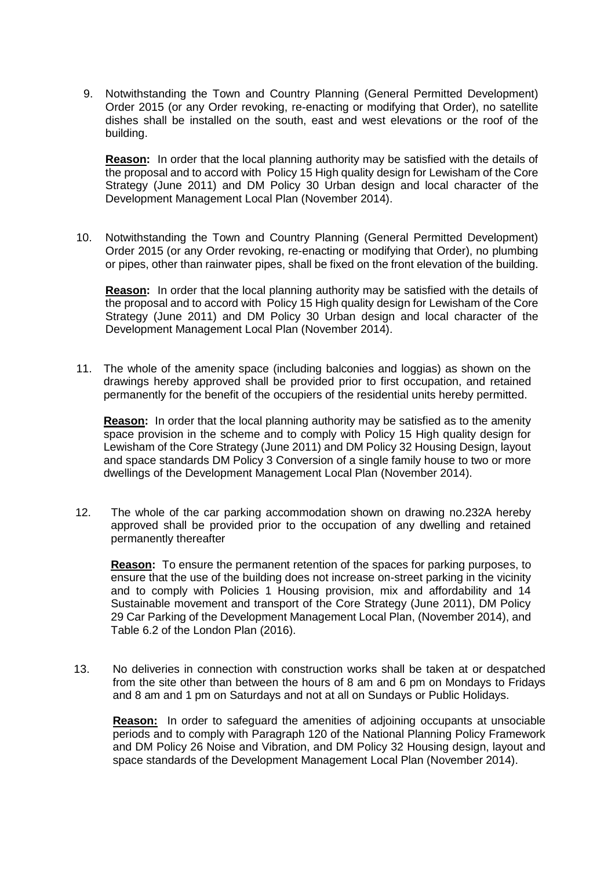9. Notwithstanding the Town and Country Planning (General Permitted Development) Order 2015 (or any Order revoking, re-enacting or modifying that Order), no satellite dishes shall be installed on the south, east and west elevations or the roof of the building.

**Reason:** In order that the local planning authority may be satisfied with the details of the proposal and to accord with Policy 15 High quality design for Lewisham of the Core Strategy (June 2011) and DM Policy 30 Urban design and local character of the Development Management Local Plan (November 2014).

10. Notwithstanding the Town and Country Planning (General Permitted Development) Order 2015 (or any Order revoking, re-enacting or modifying that Order), no plumbing or pipes, other than rainwater pipes, shall be fixed on the front elevation of the building.

**Reason:** In order that the local planning authority may be satisfied with the details of the proposal and to accord with Policy 15 High quality design for Lewisham of the Core Strategy (June 2011) and DM Policy 30 Urban design and local character of the Development Management Local Plan (November 2014).

 11. The whole of the amenity space (including balconies and loggias) as shown on the drawings hereby approved shall be provided prior to first occupation, and retained permanently for the benefit of the occupiers of the residential units hereby permitted.

**Reason:** In order that the local planning authority may be satisfied as to the amenity space provision in the scheme and to comply with Policy 15 High quality design for Lewisham of the Core Strategy (June 2011) and DM Policy 32 Housing Design, layout and space standards DM Policy 3 Conversion of a single family house to two or more dwellings of the Development Management Local Plan (November 2014).

 12. The whole of the car parking accommodation shown on drawing no.232A hereby approved shall be provided prior to the occupation of any dwelling and retained permanently thereafter

**Reason:** To ensure the permanent retention of the spaces for parking purposes, to ensure that the use of the building does not increase on-street parking in the vicinity and to comply with Policies 1 Housing provision, mix and affordability and 14 Sustainable movement and transport of the Core Strategy (June 2011), DM Policy 29 Car Parking of the Development Management Local Plan, (November 2014), and Table 6.2 of the London Plan (2016).

13. No deliveries in connection with construction works shall be taken at or despatched from the site other than between the hours of 8 am and 6 pm on Mondays to Fridays and 8 am and 1 pm on Saturdays and not at all on Sundays or Public Holidays.

**Reason:** In order to safeguard the amenities of adjoining occupants at unsociable periods and to comply with Paragraph 120 of the National Planning Policy Framework and DM Policy 26 Noise and Vibration, and DM Policy 32 Housing design, layout and space standards of the Development Management Local Plan (November 2014).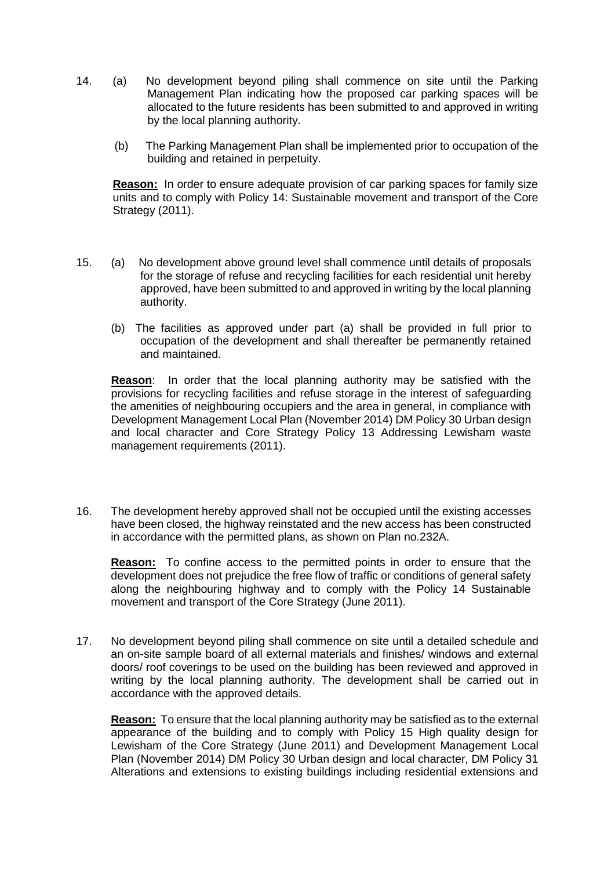- 14. (a) No development beyond piling shall commence on site until the Parking Management Plan indicating how the proposed car parking spaces will be allocated to the future residents has been submitted to and approved in writing by the local planning authority.
	- (b) The Parking Management Plan shall be implemented prior to occupation of the building and retained in perpetuity.

**Reason:** In order to ensure adequate provision of car parking spaces for family size units and to comply with Policy 14: Sustainable movement and transport of the Core Strategy (2011).

- 15. (a) No development above ground level shall commence until details of proposals for the storage of refuse and recycling facilities for each residential unit hereby approved, have been submitted to and approved in writing by the local planning authority.
	- (b) The facilities as approved under part (a) shall be provided in full prior to occupation of the development and shall thereafter be permanently retained and maintained.

**Reason**: In order that the local planning authority may be satisfied with the provisions for recycling facilities and refuse storage in the interest of safeguarding the amenities of neighbouring occupiers and the area in general, in compliance with Development Management Local Plan (November 2014) DM Policy 30 Urban design and local character and Core Strategy Policy 13 Addressing Lewisham waste management requirements (2011).

16. The development hereby approved shall not be occupied until the existing accesses have been closed, the highway reinstated and the new access has been constructed in accordance with the permitted plans, as shown on Plan no.232A.

**Reason:** To confine access to the permitted points in order to ensure that the development does not prejudice the free flow of traffic or conditions of general safety along the neighbouring highway and to comply with the Policy 14 Sustainable movement and transport of the Core Strategy (June 2011).

17. No development beyond piling shall commence on site until a detailed schedule and an on-site sample board of all external materials and finishes/ windows and external doors/ roof coverings to be used on the building has been reviewed and approved in writing by the local planning authority. The development shall be carried out in accordance with the approved details.

**Reason:** To ensure that the local planning authority may be satisfied as to the external appearance of the building and to comply with Policy 15 High quality design for Lewisham of the Core Strategy (June 2011) and Development Management Local Plan (November 2014) DM Policy 30 Urban design and local character, DM Policy 31 Alterations and extensions to existing buildings including residential extensions and